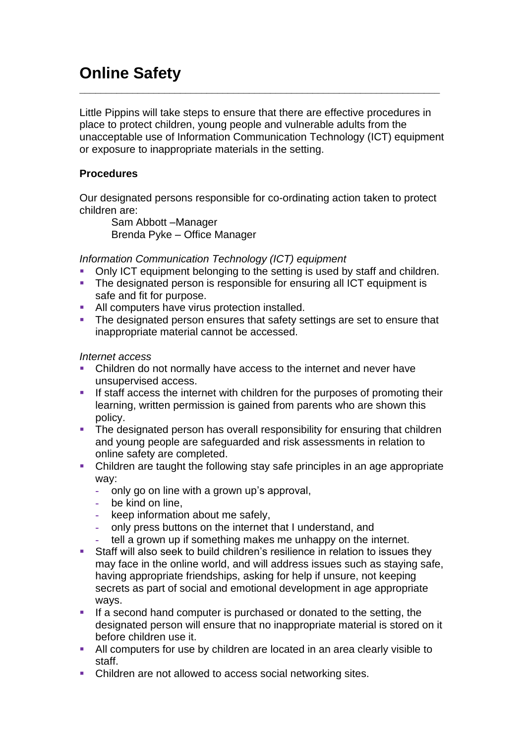# **Online Safety**

Little Pippins will take steps to ensure that there are effective procedures in place to protect children, young people and vulnerable adults from the unacceptable use of Information Communication Technology (ICT) equipment or exposure to inappropriate materials in the setting.

 $\_$  , and the set of the set of the set of the set of the set of the set of the set of the set of the set of the set of the set of the set of the set of the set of the set of the set of the set of the set of the set of th

# **Procedures**

Our designated persons responsible for co-ordinating action taken to protect children are:

Sam Abbott –Manager Brenda Pyke – Office Manager

*Information Communication Technology (ICT) equipment*

- Only ICT equipment belonging to the setting is used by staff and children.
- **The designated person is responsible for ensuring all ICT equipment is** safe and fit for purpose.
- **EXECUTE:** All computers have virus protection installed.
- **•** The designated person ensures that safety settings are set to ensure that inappropriate material cannot be accessed.

*Internet access*

- **•** Children do not normally have access to the internet and never have unsupervised access.
- **.** If staff access the internet with children for the purposes of promoting their learning, written permission is gained from parents who are shown this policy.
- **•** The designated person has overall responsibility for ensuring that children and young people are safeguarded and risk assessments in relation to online safety are completed.
- Children are taught the following stay safe principles in an age appropriate way:
	- **-** only go on line with a grown up's approval,
	- **-** be kind on line,
	- **-** keep information about me safely,
	- **-** only press buttons on the internet that I understand, and
	- **-** tell a grown up if something makes me unhappy on the internet.
- Staff will also seek to build children's resilience in relation to issues they may face in the online world, and will address issues such as staying safe, having appropriate friendships, asking for help if unsure, not keeping secrets as part of social and emotional development in age appropriate ways.
- **.** If a second hand computer is purchased or donated to the setting, the designated person will ensure that no inappropriate material is stored on it before children use it.
- All computers for use by children are located in an area clearly visible to staff.
- Children are not allowed to access social networking sites.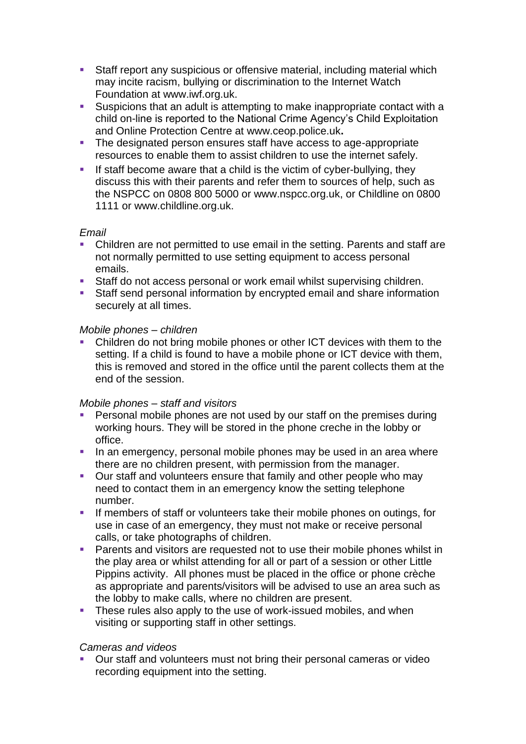- **EXT** Staff report any suspicious or offensive material, including material which may incite racism, bullying or discrimination to the Internet Watch Foundation at [www.iwf.org.uk.](http://www.iwf.org.uk/)
- Suspicions that an adult is attempting to make inappropriate contact with a child on-line is reported to the National Crime Agency's Child Exploitation and Online Protection Centre at [www.ceop.police.uk](http://www.ceop.police.uk/)**.**
- The designated person ensures staff have access to age-appropriate resources to enable them to assist children to use the internet safely.
- **EXECOME** If staff become aware that a child is the victim of cyber-bullying, they discuss this with their parents and refer them to sources of help, such as the NSPCC on 0808 800 5000 or www.nspcc.org.uk, or Childline on 0800 1111 or www.childline.org.uk.

### *Email*

- Children are not permitted to use email in the setting. Parents and staff are not normally permitted to use setting equipment to access personal emails.
- Staff do not access personal or work email whilst supervising children.
- Staff send personal information by encrypted email and share information securely at all times.

#### *Mobile phones – children*

Children do not bring mobile phones or other ICT devices with them to the setting. If a child is found to have a mobile phone or ICT device with them, this is removed and stored in the office until the parent collects them at the end of the session.

### *Mobile phones – staff and visitors*

- Personal mobile phones are not used by our staff on the premises during working hours. They will be stored in the phone creche in the lobby or office.
- **·** In an emergency, personal mobile phones may be used in an area where there are no children present, with permission from the manager.
- Our staff and volunteers ensure that family and other people who may need to contact them in an emergency know the setting telephone number.
- **.** If members of staff or volunteers take their mobile phones on outings, for use in case of an emergency, they must not make or receive personal calls, or take photographs of children.
- Parents and visitors are requested not to use their mobile phones whilst in the play area or whilst attending for all or part of a session or other Little Pippins activity. All phones must be placed in the office or phone crèche as appropriate and parents/visitors will be advised to use an area such as the lobby to make calls, where no children are present.
- **EXT** These rules also apply to the use of work-issued mobiles, and when visiting or supporting staff in other settings.

### *Cameras and videos*

Our staff and volunteers must not bring their personal cameras or video recording equipment into the setting.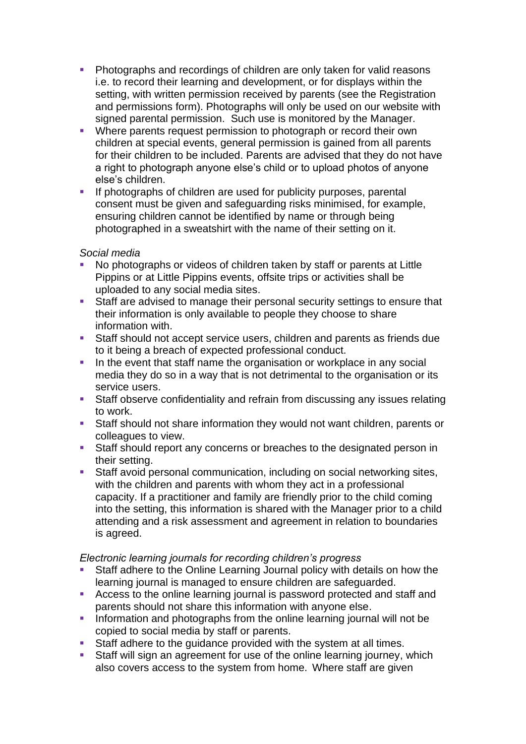- Photographs and recordings of children are only taken for valid reasons i.e. to record their learning and development, or for displays within the setting, with written permission received by parents (see the Registration and permissions form). Photographs will only be used on our website with signed parental permission. Such use is monitored by the Manager.
- Where parents request permission to photograph or record their own children at special events, general permission is gained from all parents for their children to be included. Parents are advised that they do not have a right to photograph anyone else's child or to upload photos of anyone else's children.
- If photographs of children are used for publicity purposes, parental consent must be given and safeguarding risks minimised, for example, ensuring children cannot be identified by name or through being photographed in a sweatshirt with the name of their setting on it.

# *Social media*

- No photographs or videos of children taken by staff or parents at Little Pippins or at Little Pippins events, offsite trips or activities shall be uploaded to any social media sites.
- Staff are advised to manage their personal security settings to ensure that their information is only available to people they choose to share information with.
- Staff should not accept service users, children and parents as friends due to it being a breach of expected professional conduct.
- **In the event that staff name the organisation or workplace in any social** media they do so in a way that is not detrimental to the organisation or its service users.
- Staff observe confidentiality and refrain from discussing any issues relating to work.
- Staff should not share information they would not want children, parents or colleagues to view.
- Staff should report any concerns or breaches to the designated person in their setting.
- Staff avoid personal communication, including on social networking sites, with the children and parents with whom they act in a professional capacity. If a practitioner and family are friendly prior to the child coming into the setting, this information is shared with the Manager prior to a child attending and a risk assessment and agreement in relation to boundaries is agreed.

### *Electronic learning journals for recording children's progress*

- Staff adhere to the Online Learning Journal policy with details on how the learning journal is managed to ensure children are safeguarded.
- Access to the online learning journal is password protected and staff and parents should not share this information with anyone else.
- **•** Information and photographs from the online learning journal will not be copied to social media by staff or parents.
- Staff adhere to the quidance provided with the system at all times.
- Staff will sign an agreement for use of the online learning journey, which also covers access to the system from home. Where staff are given